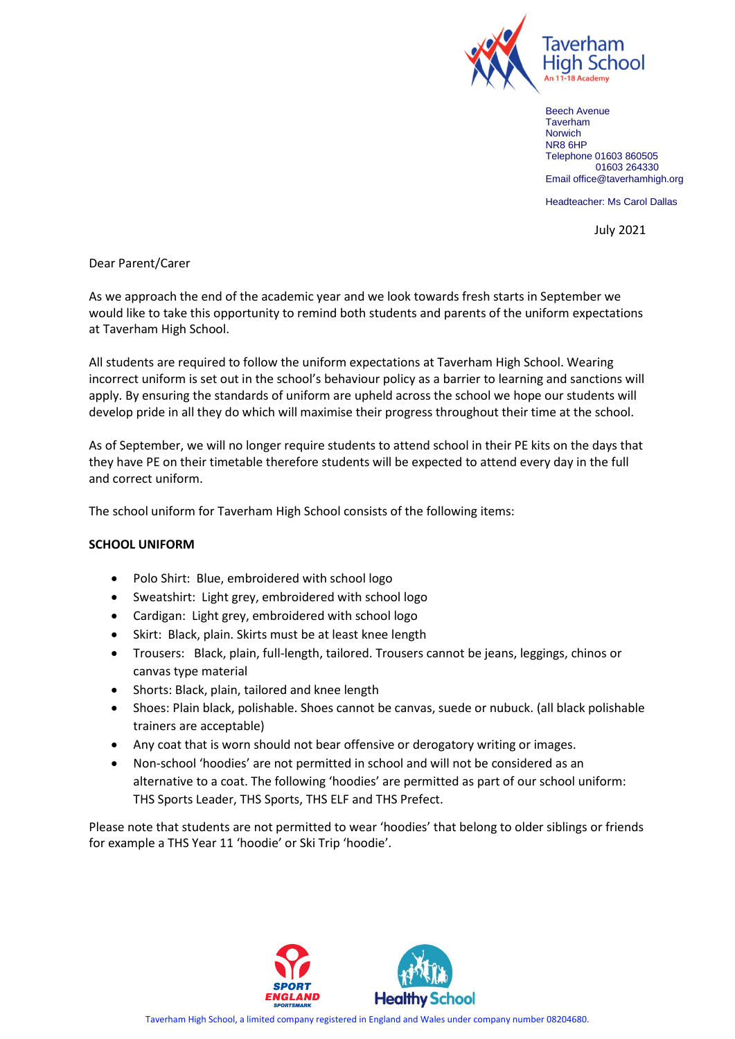

Beech Avenue Taverham **Norwich** NR8 6HP Telephone 01603 860505 01603 264330 Email office@taverhamhigh.org

Headteacher: Ms Carol Dallas

July 2021

Dear Parent/Carer

As we approach the end of the academic year and we look towards fresh starts in September we would like to take this opportunity to remind both students and parents of the uniform expectations at Taverham High School.

All students are required to follow the uniform expectations at Taverham High School. Wearing incorrect uniform is set out in the school's behaviour policy as a barrier to learning and sanctions will apply. By ensuring the standards of uniform are upheld across the school we hope our students will develop pride in all they do which will maximise their progress throughout their time at the school.

As of September, we will no longer require students to attend school in their PE kits on the days that they have PE on their timetable therefore students will be expected to attend every day in the full and correct uniform.

The school uniform for Taverham High School consists of the following items:

## **SCHOOL UNIFORM**

- Polo Shirt: Blue, embroidered with school logo
- Sweatshirt: Light grey, embroidered with school logo
- Cardigan: Light grey, embroidered with school logo
- Skirt: Black, plain. Skirts must be at least knee length
- Trousers: Black, plain, full-length, tailored. Trousers cannot be jeans, leggings, chinos or canvas type material
- Shorts: Black, plain, tailored and knee length
- Shoes: Plain black, polishable. Shoes cannot be canvas, suede or nubuck. (all black polishable trainers are acceptable)
- Any coat that is worn should not bear offensive or derogatory writing or images.
- Non-school 'hoodies' are not permitted in school and will not be considered as an alternative to a coat. The following 'hoodies' are permitted as part of our school uniform: THS Sports Leader, THS Sports, THS ELF and THS Prefect.

Please note that students are not permitted to wear 'hoodies' that belong to older siblings or friends for example a THS Year 11 'hoodie' or Ski Trip 'hoodie'.